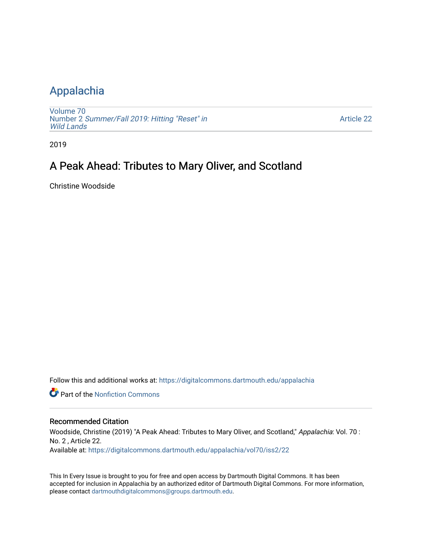## [Appalachia](https://digitalcommons.dartmouth.edu/appalachia)

[Volume 70](https://digitalcommons.dartmouth.edu/appalachia/vol70) Number 2 [Summer/Fall 2019: Hitting "Reset" in](https://digitalcommons.dartmouth.edu/appalachia/vol70/iss2) [Wild Lands](https://digitalcommons.dartmouth.edu/appalachia/vol70/iss2) 

[Article 22](https://digitalcommons.dartmouth.edu/appalachia/vol70/iss2/22) 

2019

## A Peak Ahead: Tributes to Mary Oliver, and Scotland

Christine Woodside

Follow this and additional works at: [https://digitalcommons.dartmouth.edu/appalachia](https://digitalcommons.dartmouth.edu/appalachia?utm_source=digitalcommons.dartmouth.edu%2Fappalachia%2Fvol70%2Fiss2%2F22&utm_medium=PDF&utm_campaign=PDFCoverPages)

**C** Part of the Nonfiction Commons

#### Recommended Citation

Woodside, Christine (2019) "A Peak Ahead: Tributes to Mary Oliver, and Scotland," Appalachia: Vol. 70 : No. 2 , Article 22. Available at: [https://digitalcommons.dartmouth.edu/appalachia/vol70/iss2/22](https://digitalcommons.dartmouth.edu/appalachia/vol70/iss2/22?utm_source=digitalcommons.dartmouth.edu%2Fappalachia%2Fvol70%2Fiss2%2F22&utm_medium=PDF&utm_campaign=PDFCoverPages) 

This In Every Issue is brought to you for free and open access by Dartmouth Digital Commons. It has been accepted for inclusion in Appalachia by an authorized editor of Dartmouth Digital Commons. For more information, please contact [dartmouthdigitalcommons@groups.dartmouth.edu](mailto:dartmouthdigitalcommons@groups.dartmouth.edu).